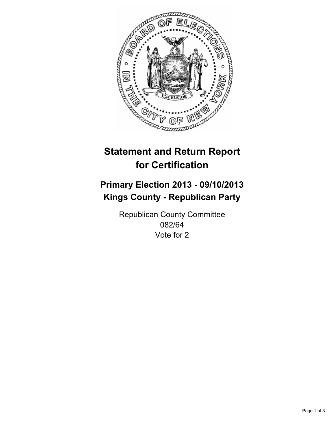

# **Statement and Return Report for Certification**

# **Primary Election 2013 - 09/10/2013 Kings County - Republican Party**

Republican County Committee 082/64 Vote for 2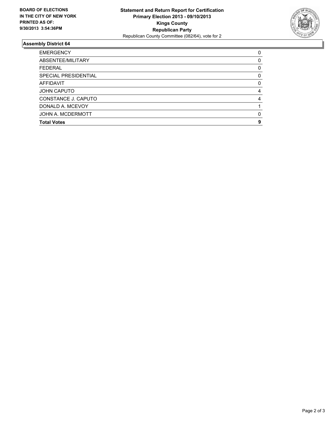

## **Assembly District 64**

| <b>EMERGENCY</b>     | 0        |
|----------------------|----------|
| ABSENTEE/MILITARY    | $\Omega$ |
| <b>FEDERAL</b>       | 0        |
| SPECIAL PRESIDENTIAL | 0        |
| <b>AFFIDAVIT</b>     | 0        |
| <b>JOHN CAPUTO</b>   | 4        |
| CONSTANCE J. CAPUTO  | 4        |
| DONALD A. MCEVOY     |          |
| JOHN A. MCDERMOTT    | 0        |
| <b>Total Votes</b>   | 9        |